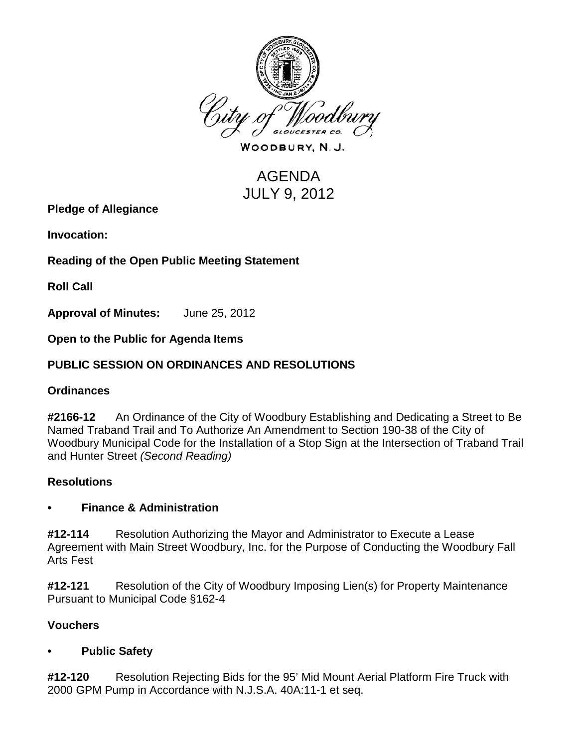

WOODBURY, N.J.

# AGENDA JULY 9, 2012

**Pledge of Allegiance**

**Invocation:** 

**Reading of the Open Public Meeting Statement**

**Roll Call**

**Approval of Minutes:** June 25, 2012

**Open to the Public for Agenda Items**

## **PUBLIC SESSION ON ORDINANCES AND RESOLUTIONS**

#### **Ordinances**

**#2166-12** An Ordinance of the City of Woodbury Establishing and Dedicating a Street to Be Named Traband Trail and To Authorize An Amendment to Section 190-38 of the City of Woodbury Municipal Code for the Installation of a Stop Sign at the Intersection of Traband Trail and Hunter Street *(Second Reading)*

#### **Resolutions**

#### **• Finance & Administration**

**#12-114** Resolution Authorizing the Mayor and Administrator to Execute a Lease Agreement with Main Street Woodbury, Inc. for the Purpose of Conducting the Woodbury Fall Arts Fest

**#12-121** Resolution of the City of Woodbury Imposing Lien(s) for Property Maintenance Pursuant to Municipal Code §162-4

#### **Vouchers**

#### **• Public Safety**

**#12-120** Resolution Rejecting Bids for the 95' Mid Mount Aerial Platform Fire Truck with 2000 GPM Pump in Accordance with N.J.S.A. 40A:11-1 et seq.